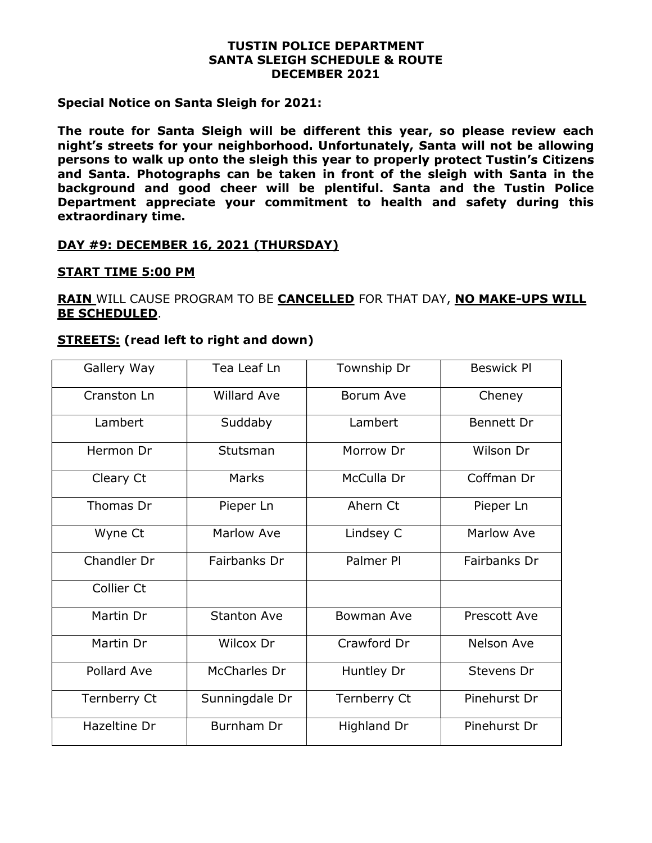#### TUSTIN POLICE DEPARTMENT SANTA SLEIGH SCHEDULE & ROUTE DECEMBER 2021

## Special Notice on Santa Sleigh for 2021:

The route for Santa Sleigh will be different this year, so please review each night's streets for your neighborhood. Unfortunately, Santa will not be allowing persons to walk up onto the sleigh this year to properly protect Tustin's Citizens and Santa. Photographs can be taken in front of the sleigh with Santa in the background and good cheer will be plentiful. Santa and the Tustin Police Department appreciate your commitment to health and safety during this extraordinary time.

## DAY #9: DECEMBER 16, 2021 (THURSDAY)

#### START TIME 5:00 PM

# RAIN WILL CAUSE PROGRAM TO BE CANCELLED FOR THAT DAY, NO MAKE-UPS WILL BE SCHEDULED.

#### **STREETS:** (read left to right and down)

| Gallery Way  | Tea Leaf Ln        | Township Dr  | <b>Beswick Pl</b> |
|--------------|--------------------|--------------|-------------------|
| Cranston Ln  | <b>Willard Ave</b> | Borum Ave    | Cheney            |
| Lambert      | Suddaby            | Lambert      | Bennett Dr        |
| Hermon Dr    | Stutsman           | Morrow Dr    | Wilson Dr         |
| Cleary Ct    | Marks              | McCulla Dr   | Coffman Dr        |
| Thomas Dr    | Pieper Ln          | Ahern Ct     | Pieper Ln         |
| Wyne Ct      | Marlow Ave         | Lindsey C    | Marlow Ave        |
| Chandler Dr  | Fairbanks Dr       | Palmer Pl    | Fairbanks Dr      |
| Collier Ct   |                    |              |                   |
| Martin Dr    | <b>Stanton Ave</b> | Bowman Ave   | Prescott Ave      |
| Martin Dr    | Wilcox Dr          | Crawford Dr  | Nelson Ave        |
| Pollard Ave  | McCharles Dr       | Huntley Dr   | Stevens Dr        |
| Ternberry Ct | Sunningdale Dr     | Ternberry Ct | Pinehurst Dr      |
| Hazeltine Dr | Burnham Dr         | Highland Dr  | Pinehurst Dr      |